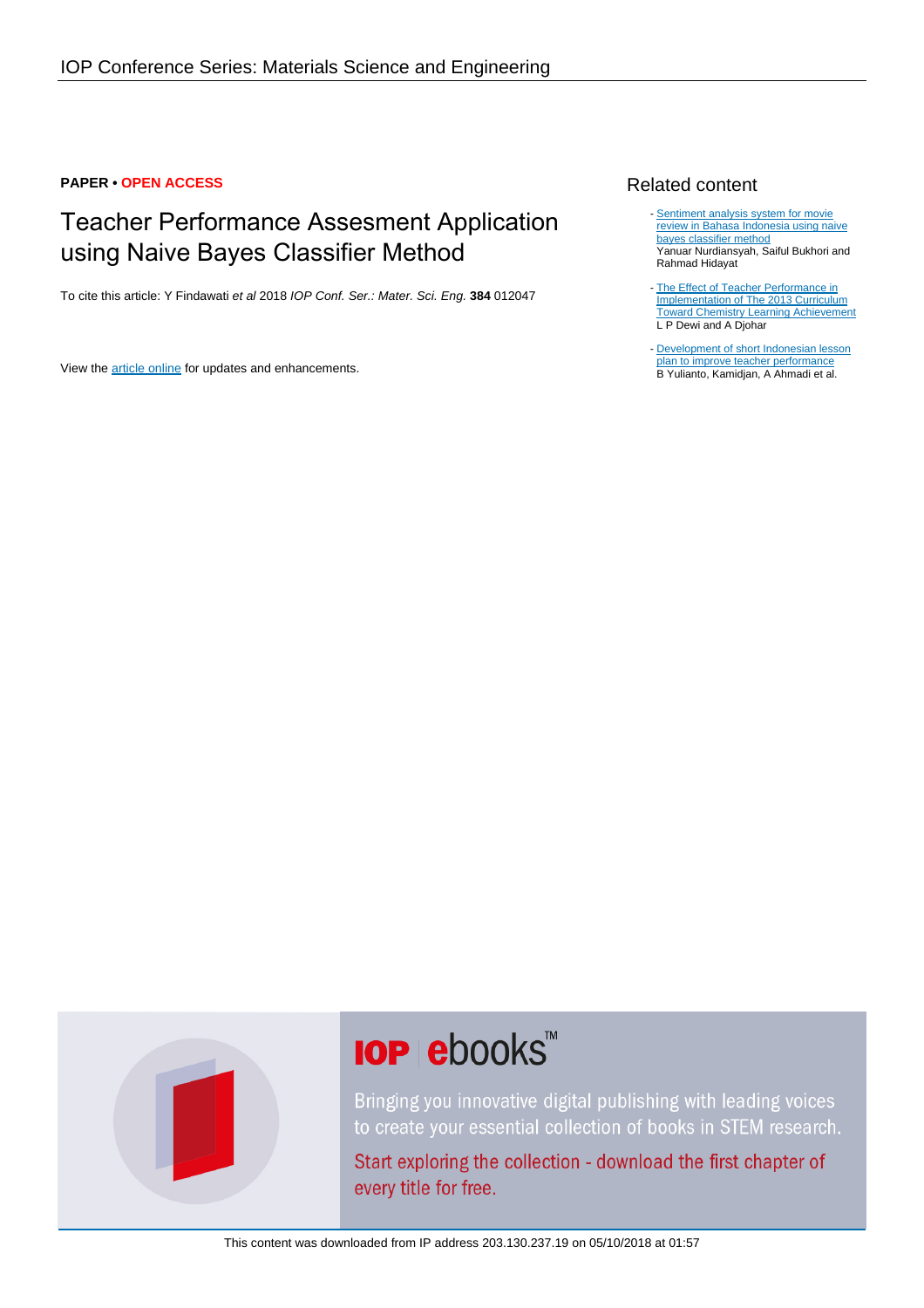#### **PAPER • OPEN ACCESS**

# Teacher Performance Assesment Application using Naive Bayes Classifier Method

To cite this article: Y Findawati et al 2018 IOP Conf. Ser.: Mater. Sci. Eng. **384** 012047

View the [article online](https://doi.org/10.1088/1757-899X/384/1/012047) for updates and enhancements.

## Related content

- [Sentiment analysis system for movie](http://iopscience.iop.org/article/10.1088/1742-6596/1008/1/012011) [review in Bahasa Indonesia using naive](http://iopscience.iop.org/article/10.1088/1742-6596/1008/1/012011) [bayes classifier method](http://iopscience.iop.org/article/10.1088/1742-6596/1008/1/012011) Yanuar Nurdiansyah, Saiful Bukhori and Rahmad Hidayat
- [The Effect of Teacher Performance in](http://iopscience.iop.org/article/10.1088/1757-899X/335/1/012129) [Implementation of The 2013 Curriculum](http://iopscience.iop.org/article/10.1088/1757-899X/335/1/012129) [Toward Chemistry Learning Achievement](http://iopscience.iop.org/article/10.1088/1757-899X/335/1/012129) L P Dewi and A Djohar
- [Development of short Indonesian lesson](http://iopscience.iop.org/article/10.1088/1757-899X/296/1/012001) [plan to improve teacher performance](http://iopscience.iop.org/article/10.1088/1757-899X/296/1/012001) B Yulianto, Kamidjan, A Ahmadi et al.



# **IOP ebooks**™

Bringing you innovative digital publishing with leading voices to create your essential collection of books in STEM research.

Start exploring the collection - download the first chapter of every title for free.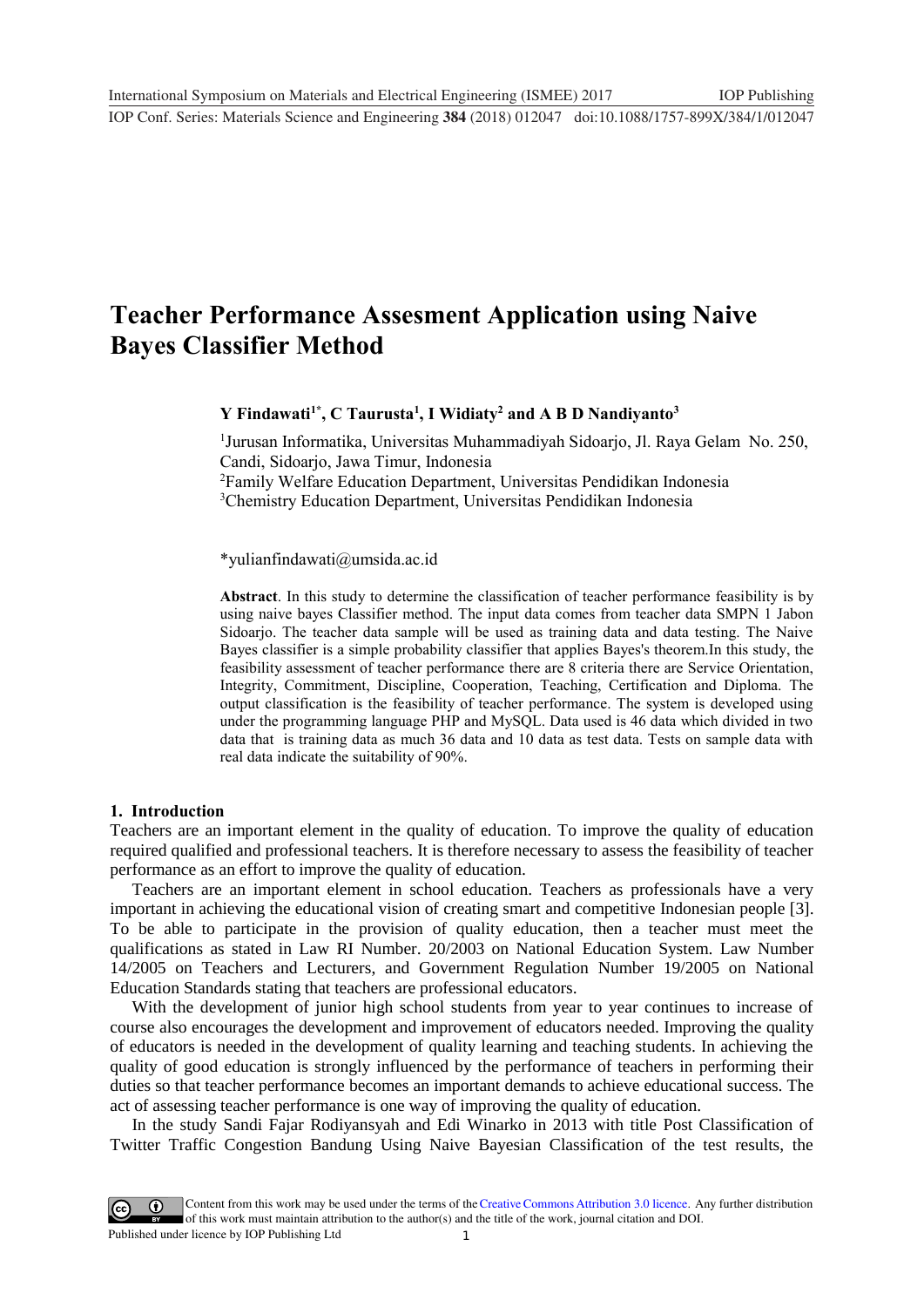# **Teacher Performance Assesment Application using Naive Bayes Classifier Method**

**Y Findawati1\* , C Taurusta<sup>1</sup> , I Widiaty<sup>2</sup> and A B D Nandiyanto<sup>3</sup>**

 Jurusan Informatika, Universitas Muhammadiyah Sidoarjo, Jl. Raya Gelam No. 250, Candi, Sidoarjo, Jawa Timur, Indonesia Family Welfare Education Department, Universitas Pendidikan Indonesia Chemistry Education Department, Universitas Pendidikan Indonesia

\*yulianfindawati@umsida.ac.id

**Abstract**. In this study to determine the classification of teacher performance feasibility is by using naive bayes Classifier method. The input data comes from teacher data SMPN 1 Jabon Sidoarjo. The teacher data sample will be used as training data and data testing. The Naive Bayes classifier is a simple probability classifier that applies Bayes's theorem.In this study, the feasibility assessment of teacher performance there are 8 criteria there are Service Orientation, Integrity, Commitment, Discipline, Cooperation, Teaching, Certification and Diploma. The output classification is the feasibility of teacher performance. The system is developed using under the programming language PHP and MySQL. Data used is 46 data which divided in two data that is training data as much 36 data and 10 data as test data. Tests on sample data with real data indicate the suitability of 90%.

#### **1. Introduction**

Teachers are an important element in the quality of education. To improve the quality of education required qualified and professional teachers. It is therefore necessary to assess the feasibility of teacher performance as an effort to improve the quality of education.

Teachers are an important element in school education. Teachers as professionals have a very important in achieving the educational vision of creating smart and competitive Indonesian people [3]. To be able to participate in the provision of quality education, then a teacher must meet the qualifications as stated in Law RI Number. 20/2003 on National Education System. Law Number 14/2005 on Teachers and Lecturers, and Government Regulation Number 19/2005 on National Education Standards stating that teachers are professional educators.

With the development of junior high school students from year to year continues to increase of course also encourages the development and improvement of educators needed. Improving the quality of educators is needed in the development of quality learning and teaching students. In achieving the quality of good education is strongly influenced by the performance of teachers in performing their duties so that teacher performance becomes an important demands to achieve educational success. The act of assessing teacher performance is one way of improving the quality of education.

In the study Sandi Fajar Rodiyansyah and Edi Winarko in 2013 with title Post Classification of Twitter Traffic Congestion Bandung Using Naive Bayesian Classification of the test results, the

1 Content from this work may be used under the terms of the[Creative Commons Attribution 3.0 licence.](http://creativecommons.org/licenses/by/3.0) Any further distribution of this work must maintain attribution to the author(s) and the title of the work, journal citation and DOI. Published under licence by IOP Publishing Ltd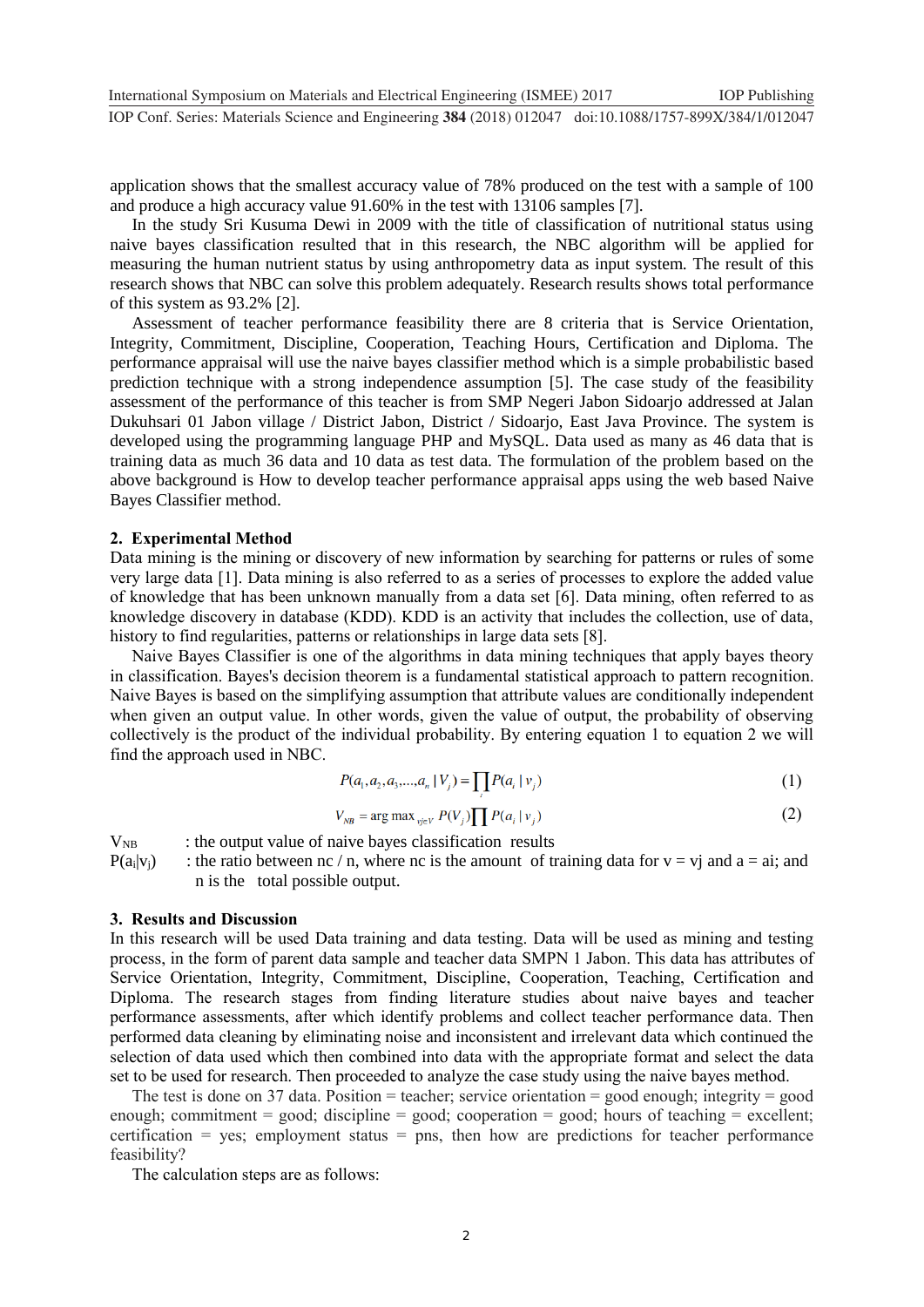application shows that the smallest accuracy value of 78% produced on the test with a sample of 100 and produce a high accuracy value 91.60% in the test with 13106 samples [7].

In the study Sri Kusuma Dewi in 2009 with the title of classification of nutritional status using naive bayes classification resulted that in this research, the NBC algorithm will be applied for measuring the human nutrient status by using anthropometry data as input system. The result of this research shows that NBC can solve this problem adequately. Research results shows total performance of this system as 93.2% [2].

Assessment of teacher performance feasibility there are 8 criteria that is Service Orientation, Integrity, Commitment, Discipline, Cooperation, Teaching Hours, Certification and Diploma. The performance appraisal will use the naive bayes classifier method which is a simple probabilistic based prediction technique with a strong independence assumption [5]. The case study of the feasibility assessment of the performance of this teacher is from SMP Negeri Jabon Sidoarjo addressed at Jalan Dukuhsari 01 Jabon village / District Jabon, District / Sidoarjo, East Java Province. The system is developed using the programming language PHP and MySQL. Data used as many as 46 data that is training data as much 36 data and 10 data as test data. The formulation of the problem based on the above background is How to develop teacher performance appraisal apps using the web based Naive Bayes Classifier method.

#### **2. Experimental Method**

Data mining is the mining or discovery of new information by searching for patterns or rules of some very large data [1]. Data mining is also referred to as a series of processes to explore the added value of knowledge that has been unknown manually from a data set [6]. Data mining, often referred to as knowledge discovery in database (KDD). KDD is an activity that includes the collection, use of data, history to find regularities, patterns or relationships in large data sets [8].

Naive Bayes Classifier is one of the algorithms in data mining techniques that apply bayes theory in classification. Bayes's decision theorem is a fundamental statistical approach to pattern recognition. Naive Bayes is based on the simplifying assumption that attribute values are conditionally independent when given an output value. In other words, given the value of output, the probability of observing collectively is the product of the individual probability. By entering equation 1 to equation 2 we will find the approach used in NBC.

$$
P(a_1, a_2, a_3, \dots, a_n \mid V_j) = \prod P(a_i \mid v_j)
$$
\n(1)

$$
V_{NB} = \arg \max_{\mathbf{v}_j \in V} P(V_j) \prod P(a_i | \mathbf{v}_j)
$$
 (2)

 $V_{NB}$  : the output value of naive bayes classification results  $P(a_i|v_i)$  : the ratio between nc / n, where nc is the amount of training data for  $v = vj$  and  $a = ai$ ; and n is the total possible output.

#### **3. Results and Discussion**

In this research will be used Data training and data testing. Data will be used as mining and testing process, in the form of parent data sample and teacher data SMPN 1 Jabon. This data has attributes of Service Orientation, Integrity, Commitment, Discipline, Cooperation, Teaching, Certification and Diploma. The research stages from finding literature studies about naive bayes and teacher performance assessments, after which identify problems and collect teacher performance data. Then performed data cleaning by eliminating noise and inconsistent and irrelevant data which continued the selection of data used which then combined into data with the appropriate format and select the data set to be used for research. Then proceeded to analyze the case study using the naive bayes method.

The test is done on 37 data. Position = teacher; service orientation = good enough; integrity = good enough; commitment = good; discipline = good; cooperation = good; hours of teaching = excellent; certification = yes; employment status = pns, then how are predictions for teacher performance feasibility?

The calculation steps are as follows: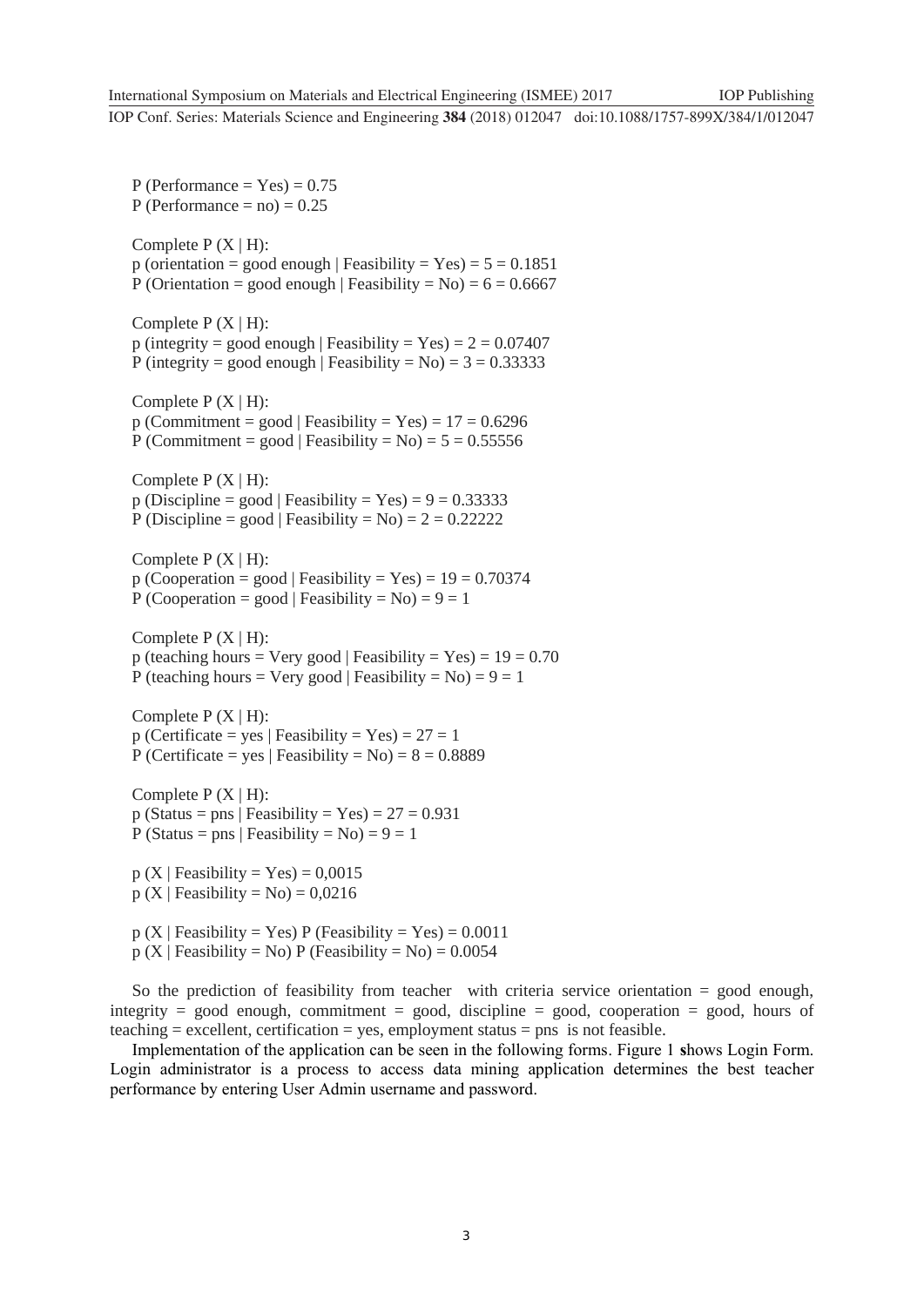$P$  (Performance = Yes) = 0.75 P (Performance  $=$  no)  $= 0.25$ Complete  $P(X | H)$ : p (orientation = good enough | Feasibility =  $Yes$ ) =  $5 = 0.1851$ P (Orientation = good enough | Feasibility =  $No$ ) = 6 = 0.6667 Complete  $P(X | H)$ : p (integrity = good enough | Feasibility =  $Yes$ ) = 2 = 0.07407 P (integrity = good enough | Feasibility =  $No$ ) = 3 = 0.33333 Complete  $P(X | H)$ :  $p (Commitment = good | Feasibility = Yes) = 17 = 0.6296$ P (Commitment = good | Feasibility =  $No$ ) = 5 = 0.55556 Complete  $P(X|H)$ :  $p$  (Discipline = good | Feasibility = Yes) =  $9 = 0.33333$ P (Discipline = good | Feasibility =  $No$ ) = 2 = 0.22222 Complete  $P(X | H)$ :  $p (Cooperation = good | Feasibility = Yes) = 19 = 0.70374$ P (Cooperation = good | Feasibility =  $No$ ) = 9 = 1 Complete  $P(X | H)$ : p (teaching hours = Very good | Feasibility = Yes) =  $19 = 0.70$ P (teaching hours = Very good | Feasibility =  $No$ ) = 9 = 1 Complete  $P(X | H)$ :  $p$  (Certificate = yes | Feasibility = Yes) = 27 = 1 P (Certificate = yes | Feasibility =  $No$ ) = 8 = 0.8889 Complete  $P(X | H)$ :  $p$  (Status = pns | Feasibility = Yes) = 27 = 0.931 P (Status = pns | Feasibility =  $No$ ) = 9 = 1  $p(X \mid Feasibility = Yes) = 0,0015$  $p(X | Feasibility = No) = 0,0216$  $p(X \mid Feasibility = Yes) P (Feasibility = Yes) = 0.0011$  $p(X | Feasibility = No) P (Feasibility = No) = 0.0054$ 

So the prediction of feasibility from teacher with criteria service orientation = good enough, integrity = good enough, commitment = good, discipline = good, cooperation = good, hours of  $teaching = excellent, certification = yes, employment status = pns is not feasible.$ 

Implementation of the application can be seen in the following forms. Figure 1 **s**hows Login Form. Login administrator is a process to access data mining application determines the best teacher performance by entering User Admin username and password.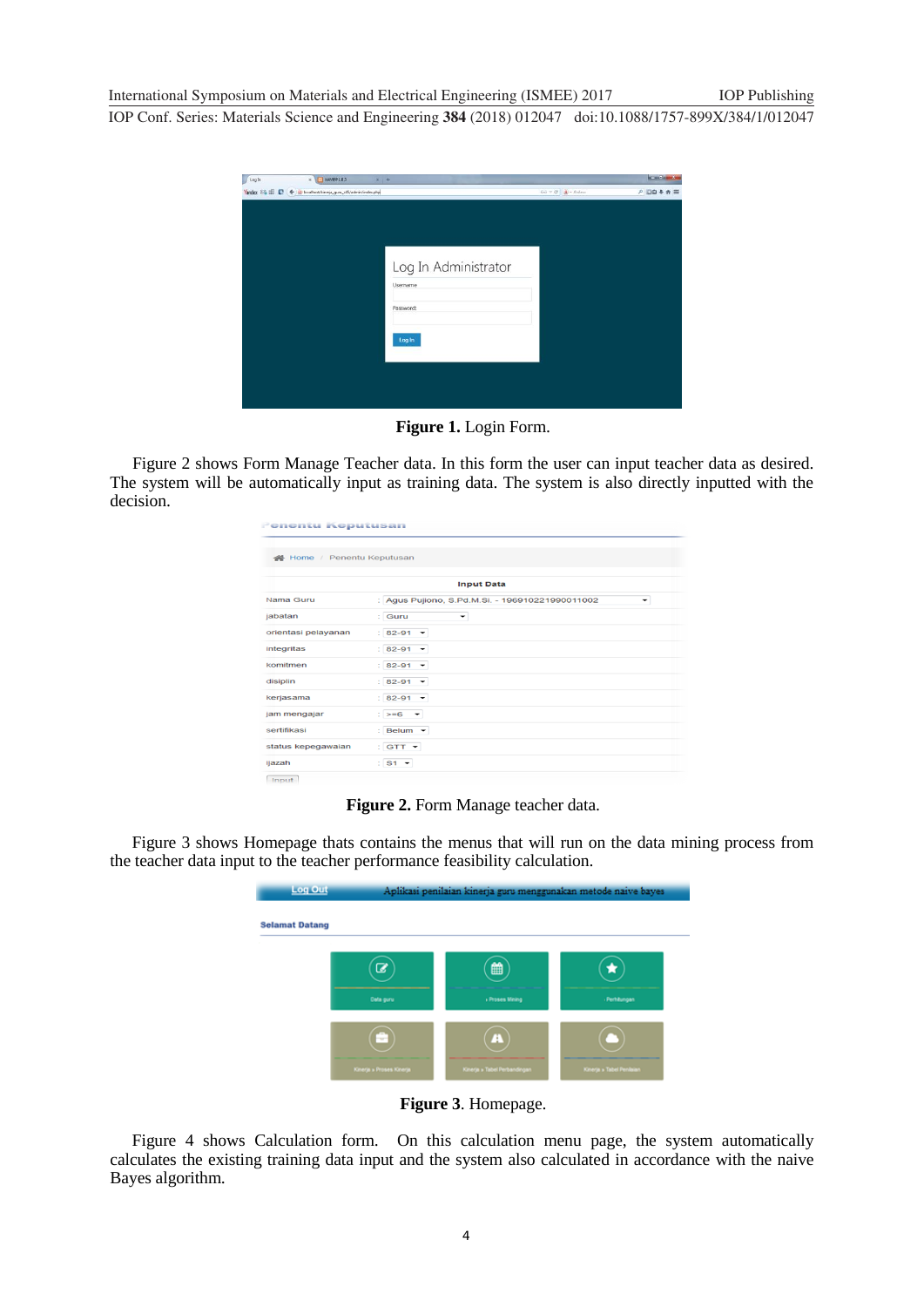| / Log In | $-$ XAMPP 183<br>$\,$ $\,$                                  | $x +$                |                                                                                                                                                               | <b>SCHOOL SHOW</b> |
|----------|-------------------------------------------------------------|----------------------|---------------------------------------------------------------------------------------------------------------------------------------------------------------|--------------------|
|          | Yandex 23 E C < a localhost/kineja_guru_c45/admin/index.php |                      | $\widehat{D}\widehat{\varphi}\ \mp\ \widehat{\mathbf{C}}\ \ \Big \ \widehat{\mathbf{R}}\Big\rangle =\widehat{A}\widehat{\varphi}\widehat{\varphi}\mathrm{er}$ | ♪口白+弁三             |
|          |                                                             |                      |                                                                                                                                                               |                    |
|          |                                                             |                      |                                                                                                                                                               |                    |
|          |                                                             |                      |                                                                                                                                                               |                    |
|          |                                                             | Log In Administrator |                                                                                                                                                               |                    |
|          |                                                             | Username             |                                                                                                                                                               |                    |
|          |                                                             | Password:            |                                                                                                                                                               |                    |
|          |                                                             |                      |                                                                                                                                                               |                    |
|          |                                                             | Log In               |                                                                                                                                                               |                    |
|          |                                                             |                      |                                                                                                                                                               |                    |
|          |                                                             |                      |                                                                                                                                                               |                    |
|          |                                                             |                      |                                                                                                                                                               |                    |
|          |                                                             |                      |                                                                                                                                                               |                    |

**Figure 1.** Login Form.

Figure 2 shows Form Manage Teacher data. In this form the user can input teacher data as desired. The system will be automatically input as training data. The system is also directly inputted with the decision.

| Penentu Keputusan                                    |
|------------------------------------------------------|
| Home / Penentu Keputusan                             |
| <b>Input Data</b>                                    |
| : Agus Pujiono, S.Pd.M.Si. - 196910221990011002<br>÷ |
| : Guru<br>$\overline{\phantom{a}}$                   |
| $: 82 - 91$ $\star$                                  |
| $: 82 - 91$ $\star$                                  |
| $: 82-91$ $\star$                                    |
| $: 82 - 91$ $\star$                                  |
| $: 82-91$ $\star$                                    |
| $\mathbf{S}$ >=6 $\rightarrow$                       |
| : Belum -                                            |
| $:$ GTT $\star$                                      |
| $:$ S1 $\star$                                       |
|                                                      |

**Figure 2.** Form Manage teacher data.

Figure 3 shows Homepage thats contains the menus that will run on the data mining process from the teacher data input to the teacher performance feasibility calculation.

| Log Out               | Aplikasi penilaian kinerja guru menggunakan metode naive bayes |                                                  |                          |  |  |  |  |  |
|-----------------------|----------------------------------------------------------------|--------------------------------------------------|--------------------------|--|--|--|--|--|
| <b>Selamat Datang</b> |                                                                |                                                  |                          |  |  |  |  |  |
|                       | a<br>Data guru                                                 | ₩<br><b>Proses Mining</b>                        | Perhitungan              |  |  |  |  |  |
|                       | ÷<br>Kinerja » Proses Kinerja                                  | $\blacktriangle$<br>Kinerja » Tabel Perbandingan | Kinerja » Tabel Penlaian |  |  |  |  |  |

**Figure 3**. Homepage.

Figure 4 shows Calculation form. On this calculation menu page, the system automatically calculates the existing training data input and the system also calculated in accordance with the naive Bayes algorithm.